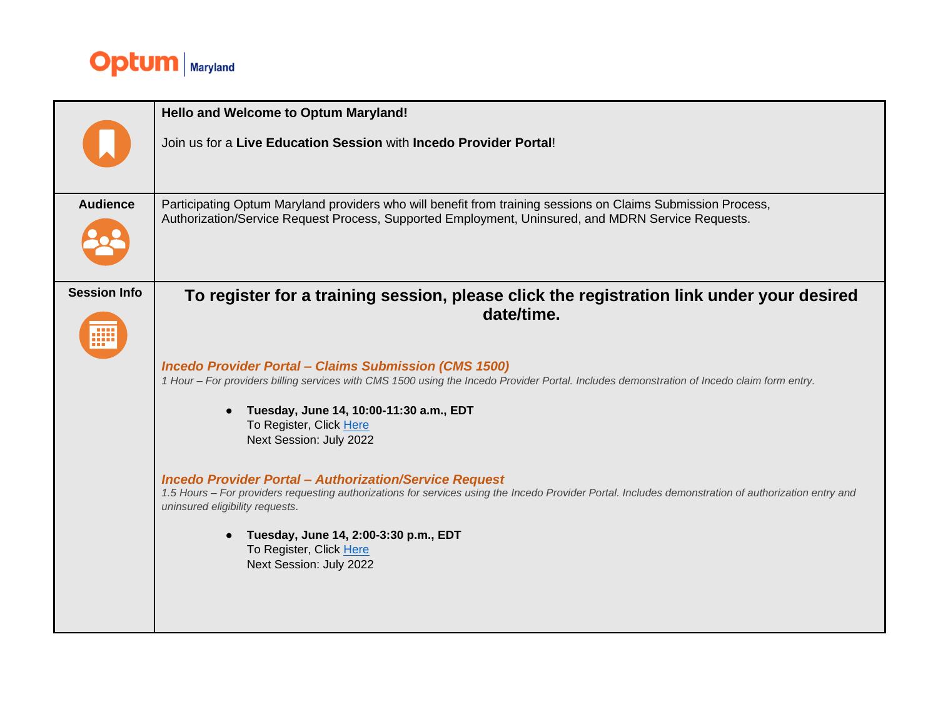

|                     | <b>Hello and Welcome to Optum Maryland!</b>                                                                                                                                                                                                              |
|---------------------|----------------------------------------------------------------------------------------------------------------------------------------------------------------------------------------------------------------------------------------------------------|
|                     | Join us for a Live Education Session with Incedo Provider Portal!                                                                                                                                                                                        |
| <b>Audience</b>     | Participating Optum Maryland providers who will benefit from training sessions on Claims Submission Process,<br>Authorization/Service Request Process, Supported Employment, Uninsured, and MDRN Service Requests.                                       |
| <b>Session Info</b> | To register for a training session, please click the registration link under your desired                                                                                                                                                                |
| m                   | date/time.                                                                                                                                                                                                                                               |
|                     | <b>Incedo Provider Portal - Claims Submission (CMS 1500)</b><br>1 Hour - For providers billing services with CMS 1500 using the Incedo Provider Portal. Includes demonstration of Incedo claim form entry.                                               |
|                     | Tuesday, June 14, 10:00-11:30 a.m., EDT<br>$\bullet$<br>To Register, Click Here<br>Next Session: July 2022                                                                                                                                               |
|                     | <b>Incedo Provider Portal - Authorization/Service Request</b><br>1.5 Hours - For providers requesting authorizations for services using the Incedo Provider Portal. Includes demonstration of authorization entry and<br>uninsured eligibility requests. |
|                     | Tuesday, June 14, 2:00-3:30 p.m., EDT<br>To Register, Click Here<br>Next Session: July 2022                                                                                                                                                              |
|                     |                                                                                                                                                                                                                                                          |